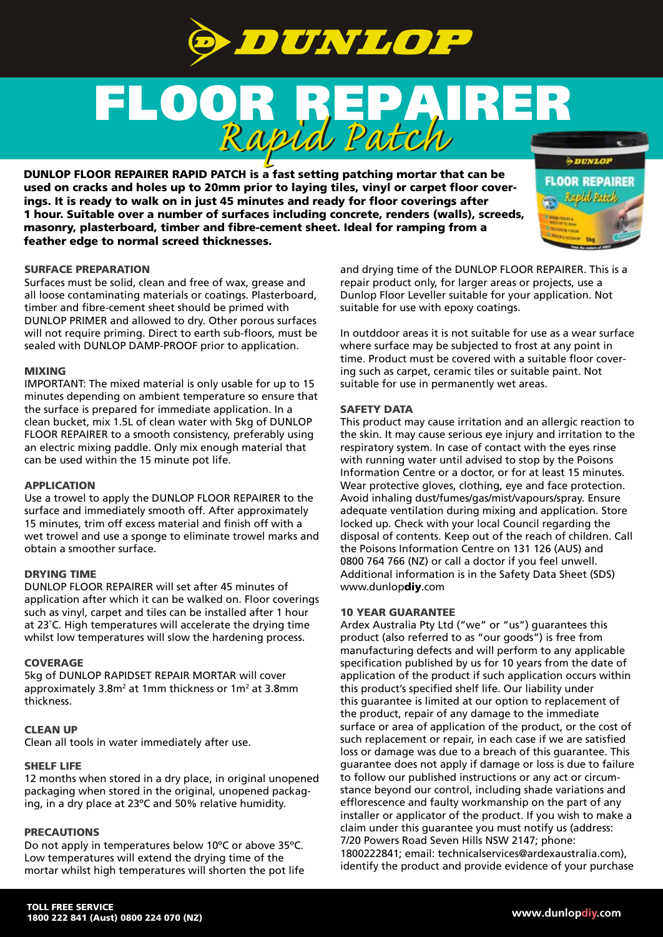

# FLOOR REPAIRER *Rapid Patch Rapid Patch*

DUNLOP FLOOR REPAIRER RAPID PATCH is a fast setting patching mortar that can be used on cracks and holes up to 20mm prior to laying tiles, vinyl or carpet floor coverings. It is ready to walk on in just 45 minutes and ready for floor coverings after 1 hour. Suitable over a number of surfaces including concrete, renders (walls), screeds, masonry, plasterboard, timber and fibre-cement sheet. Ideal for ramping from a feather edge to normal screed thicknesses.

## SURFACE PREPARATION

Surfaces must be solid, clean and free of wax, grease and all loose contaminating materials or coatings. Plasterboard, timber and fibre-cement sheet should be primed with DUNLOP PRIMER and allowed to dry. Other porous surfaces will not require priming. Direct to earth sub-floors, must be sealed with DUNLOP DAMP-PROOF prior to application.

#### MIXING

IMPORTANT: The mixed material is only usable for up to 15 minutes depending on ambient temperature so ensure that the surface is prepared for immediate application. In a clean bucket, mix 1.5L of clean water with 5kg of DUNLOP FLOOR REPAIRER to a smooth consistency, preferably using an electric mixing paddle. Only mix enough material that can be used within the 15 minute pot life.

### APPLICATION

Use a trowel to apply the DUNLOP FLOOR REPAIRER to the surface and immediately smooth off. After approximately 15 minutes, trim off excess material and finish off with a wet trowel and use a sponge to eliminate trowel marks and obtain a smoother surface.

#### DRYING TIME

DUNLOP FLOOR REPAIRER will set after 45 minutes of application after which it can be walked on. Floor coverings such as vinyl, carpet and tiles can be installed after 1 hour at 23˚C. High temperatures will accelerate the drying time whilst low temperatures will slow the hardening process.

#### **COVERAGE**

5kg of DUNLOP RAPIDSET REPAIR MORTAR will cover approximately 3.8m<sup>2</sup> at 1mm thickness or 1m<sup>2</sup> at 3.8mm thickness.

#### CLEAN UP

Clean all tools in water immediately after use.

#### SHELF LIFE

12 months when stored in a dry place, in original unopened packaging when stored in the original, unopened packaging, in a dry place at 23ºC and 50% relative humidity.

#### PRECAUTIONS

Do not apply in temperatures below 10ºC or above 35ºC. Low temperatures will extend the drying time of the mortar whilst high temperatures will shorten the pot life and drying time of the DUNLOP FLOOR REPAIRER. This is a repair product only, for larger areas or projects, use a Dunlop Floor Leveller suitable for your application. Not suitable for use with epoxy coatings.

In outddoor areas it is not suitable for use as a wear surface where surface may be subjected to frost at any point in time. Product must be covered with a suitable floor covering such as carpet, ceramic tiles or suitable paint. Not suitable for use in permanently wet areas.

#### SAFETY DATA

This product may cause irritation and an allergic reaction to the skin. It may cause serious eye injury and irritation to the respiratory system. In case of contact with the eyes rinse with running water until advised to stop by the Poisons Information Centre or a doctor, or for at least 15 minutes. Wear protective gloves, clothing, eye and face protection. Avoid inhaling dust/fumes/gas/mist/vapours/spray. Ensure adequate ventilation during mixing and application. Store locked up. Check with your local Council regarding the disposal of contents. Keep out of the reach of children. Call the Poisons Information Centre on 131 126 (AUS) and 0800 764 766 (NZ) or call a doctor if you feel unwell. Additional information is in the Safety Data Sheet (SDS) www.dunlopdiy.com

#### 10 YEAR GUARANTEE

Ardex Australia Pty Ltd ("we" or "us") guarantees this product (also referred to as "our goods") is free from manufacturing defects and will perform to any applicable specification published by us for 10 years from the date of application of the product if such application occurs within this product's specified shelf life. Our liability under this guarantee is limited at our option to replacement of the product, repair of any damage to the immediate surface or area of application of the product, or the cost of such replacement or repair, in each case if we are satisfied loss or damage was due to a breach of this guarantee. This guarantee does not apply if damage or loss is due to failure to follow our published instructions or any act or circumstance beyond our control, including shade variations and efflorescence and faulty workmanship on the part of any installer or applicator of the product. If you wish to make a claim under this guarantee you must notify us (address: 7/20 Powers Road Seven Hills NSW 2147; phone: 1800222841; email: technicalservices@ardexaustralia.com), identify the product and provide evidence of your purchase